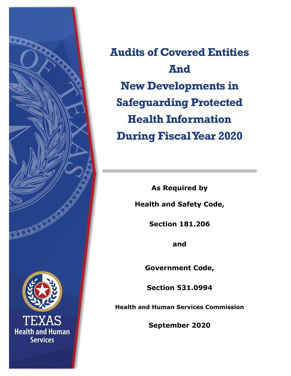

**Audits of Covered Entities And New Developments in Safeguarding Protected Health Information During Fiscal Year 2020**

> **As Required by Health and Safety Code,**

> > **Section 181.206**

**and**

**Government Code,**

**Section 531.0994**

**Health and Human Services Commission**

**September 2020**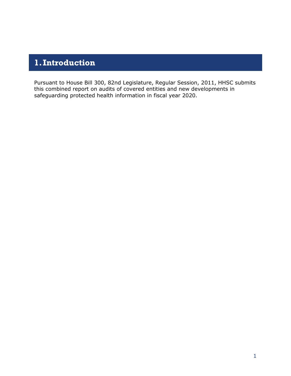# **1.Introduction**

Pursuant to House Bill 300, 82nd Legislature, Regular Session, 2011, HHSC submits this combined report on audits of covered entities and new developments in safeguarding protected health information in fiscal year 2020.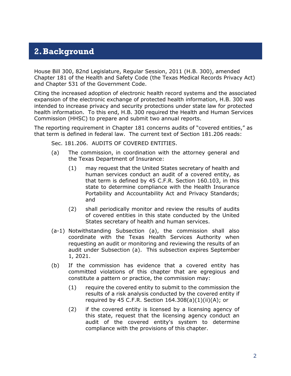## **2.Background**

House Bill 300, 82nd Legislature, Regular Session, 2011 (H.B. 300), amended Chapter 181 of the Health and Safety Code (the Texas Medical Records Privacy Act) and Chapter 531 of the Government Code.

Citing the increased adoption of electronic health record systems and the associated expansion of the electronic exchange of protected health information, H.B. 300 was intended to increase privacy and security protections under state law for protected health information. To this end, H.B. 300 required the Health and Human Services Commission (HHSC) to prepare and submit two annual reports.

The reporting requirement in Chapter 181 concerns audits of "covered entities," as that term is defined in federal law. The current text of Section 181.206 reads:

Sec. 181.206. AUDITS OF COVERED ENTITIES.

- (a) The commission, in coordination with the attorney general and the Texas Department of Insurance:
	- (1) may request that the United States secretary of health and human services conduct an audit of a covered entity, as that term is defined by 45 C.F.R. Section 160.103, in this state to determine compliance with the Health Insurance Portability and Accountability Act and Privacy Standards; and
	- (2) shall periodically monitor and review the results of audits of covered entities in this state conducted by the United States secretary of health and human services.
- (a-1) Notwithstanding Subsection (a), the commission shall also coordinate with the Texas Health Services Authority when requesting an audit or monitoring and reviewing the results of an audit under Subsection (a). This subsection expires September 1, 2021.
- (b) If the commission has evidence that a covered entity has committed violations of this chapter that are egregious and constitute a pattern or practice, the commission may:
	- (1) require the covered entity to submit to the commission the results of a risk analysis conducted by the covered entity if required by 45 C.F.R. Section  $164.308(a)(1)(ii)(A)$ ; or
	- (2) if the covered entity is licensed by a licensing agency of this state, request that the licensing agency conduct an audit of the covered entity's system to determine compliance with the provisions of this chapter.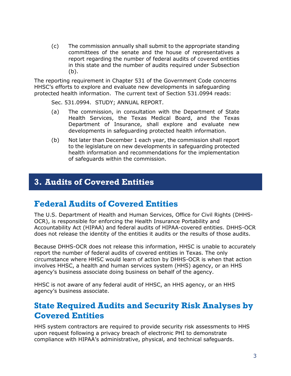(c) The commission annually shall submit to the appropriate standing committees of the senate and the house of representatives a report regarding the number of federal audits of covered entities in this state and the number of audits required under Subsection (b).

The reporting requirement in Chapter 531 of the Government Code concerns HHSC's efforts to explore and evaluate new developments in safeguarding protected health information. The current text of Section 531.0994 reads:

Sec. 531.0994. STUDY; ANNUAL REPORT.

- (a) The commission, in consultation with the Department of State Health Services, the Texas Medical Board, and the Texas Department of Insurance, shall explore and evaluate new developments in safeguarding protected health information.
- (b) Not later than December 1 each year, the commission shall report to the legislature on new developments in safeguarding protected health information and recommendations for the implementation of safeguards within the commission.

#### **3. Audits of Covered Entities**

### **Federal Audits of Covered Entities**

The U.S. Department of Health and Human Services, Office for Civil Rights (DHHS-OCR), is responsible for enforcing the Health Insurance Portability and Accountability Act (HIPAA) and federal audits of HIPAA-covered entities. DHHS-OCR does not release the identity of the entities it audits or the results of those audits.

Because DHHS-OCR does not release this information, HHSC is unable to accurately report the number of federal audits of covered entities in Texas. The only circumstance where HHSC would learn of action by DHHS-OCR is when that action involves HHSC, a health and human services system (HHS) agency, or an HHS agency's business associate doing business on behalf of the agency.

HHSC is not aware of any federal audit of HHSC, an HHS agency, or an HHS agency's business associate.

#### **State Required Audits and Security Risk Analyses by Covered Entities**

HHS system contractors are required to provide security risk assessments to HHS upon request following a privacy breach of electronic PHI to demonstrate compliance with HIPAA's administrative, physical, and technical safeguards.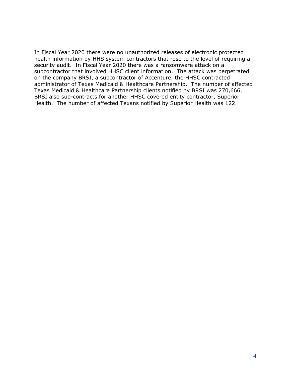In Fiscal Year 2020 there were no unauthorized releases of electronic protected health information by HHS system contractors that rose to the level of requiring a security audit. In Fiscal Year 2020 there was a ransomware attack on a subcontractor that involved HHSC client information. The attack was perpetrated on the company BRSI, a subcontractor of Accenture, the HHSC contracted administrator of Texas Medicaid & Healthcare Partnership. The number of affected Texas Medicaid & Healthcare Partnership clients notified by BRSI was 270,666. BRSI also sub-contracts for another HHSC covered entity contractor, Superior Health. The number of affected Texans notified by Superior Health was 122.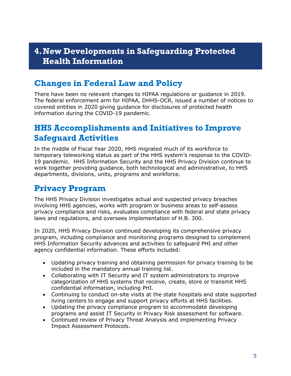#### **4.New Developments in Safeguarding Protected Health Information**

## **Changes in Federal Law and Policy**

There have been no relevant changes to HIPAA regulations or guidance in 2019. The federal enforcement arm for HIPAA, DHHS-OCR, issued a number of notices to covered entities in 2020 giving guidance for disclosures of protected health information during the COVID-19 pandemic.

#### **HHS Accomplishments and Initiatives to Improve Safeguard Activities**

In the middle of Fiscal Year 2020, HHS migrated much of its workforce to temporary teleworking status as part of the HHS system's response to the COVID-19 pandemic. HHS Information Security and the HHS Privacy Division continue to work together providing guidance, both technological and administrative, to HHS departments, divisions, units, programs and workforce.

### **Privacy Program**

The HHS Privacy Division investigates actual and suspected privacy breaches involving HHS agencies, works with program or business areas to self-assess privacy compliance and risks, evaluates compliance with federal and state privacy laws and regulations, and oversees implementation of H.B. 300.

In 2020, HHS Privacy Division continued developing its comprehensive privacy program, including compliance and monitoring programs designed to complement HHS Information Security advances and activities to safeguard PHI and other agency confidential information. These efforts included:

- Updating privacy training and obtaining permission for privacy training to be included in the mandatory annual training list.
- Collaborating with IT Security and IT system administrators to improve categorization of HHS systems that receive, create, store or transmit HHS confidential information, including PHI.
- Continuing to conduct on-site visits at the state hospitals and state supported living centers to engage and support privacy efforts at HHS facilities.
- Updating the privacy compliance program to accommodate developing programs and assist IT Security in Privacy Risk assessment for software.
- Continued review of Privacy Threat Analysis and implementing Privacy Impact Assessment Protocols.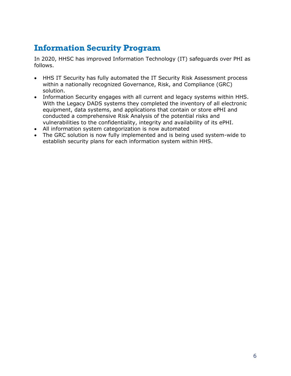## **Information Security Program**

In 2020, HHSC has improved Information Technology (IT) safeguards over PHI as follows.

- HHS IT Security has fully automated the IT Security Risk Assessment process within a nationally recognized Governance, Risk, and Compliance (GRC) solution.
- Information Security engages with all current and legacy systems within HHS. With the Legacy DADS systems they completed the inventory of all electronic equipment, data systems, and applications that contain or store ePHI and conducted a comprehensive Risk Analysis of the potential risks and vulnerabilities to the confidentiality, integrity and availability of its ePHI.
- All information system categorization is now automated
- The GRC solution is now fully implemented and is being used system-wide to establish security plans for each information system within HHS.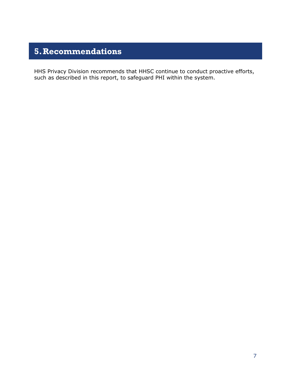## **5.Recommendations**

HHS Privacy Division recommends that HHSC continue to conduct proactive efforts, such as described in this report, to safeguard PHI within the system.